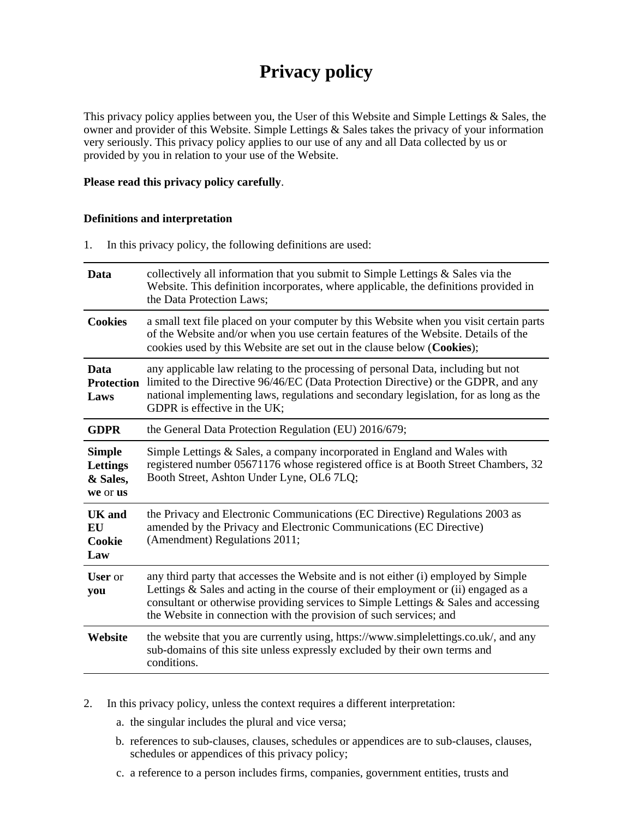# **Privacy policy**

This privacy policy applies between you, the User of this Website and Simple Lettings & Sales, the owner and provider of this Website. Simple Lettings & Sales takes the privacy of your information very seriously. This privacy policy applies to our use of any and all Data collected by us or provided by you in relation to your use of the Website.

## **Please read this privacy policy carefully**.

## **Definitions and interpretation**

1. In this privacy policy, the following definitions are used:

| Data                                              | collectively all information that you submit to Simple Lettings $\&$ Sales via the<br>Website. This definition incorporates, where applicable, the definitions provided in<br>the Data Protection Laws;                                                                                                                               |  |
|---------------------------------------------------|---------------------------------------------------------------------------------------------------------------------------------------------------------------------------------------------------------------------------------------------------------------------------------------------------------------------------------------|--|
| <b>Cookies</b>                                    | a small text file placed on your computer by this Website when you visit certain parts<br>of the Website and/or when you use certain features of the Website. Details of the<br>cookies used by this Website are set out in the clause below (Cookies);                                                                               |  |
| Data<br><b>Protection</b><br>Laws                 | any applicable law relating to the processing of personal Data, including but not<br>limited to the Directive 96/46/EC (Data Protection Directive) or the GDPR, and any<br>national implementing laws, regulations and secondary legislation, for as long as the<br>GDPR is effective in the UK;                                      |  |
| <b>GDPR</b>                                       | the General Data Protection Regulation (EU) 2016/679;                                                                                                                                                                                                                                                                                 |  |
| <b>Simple</b><br>Lettings<br>& Sales,<br>we or us | Simple Lettings & Sales, a company incorporated in England and Wales with<br>registered number 05671176 whose registered office is at Booth Street Chambers, 32<br>Booth Street, Ashton Under Lyne, OL6 7LQ;                                                                                                                          |  |
| UK and<br><b>EU</b><br>Cookie<br>Law              | the Privacy and Electronic Communications (EC Directive) Regulations 2003 as<br>amended by the Privacy and Electronic Communications (EC Directive)<br>(Amendment) Regulations 2011;                                                                                                                                                  |  |
| <b>User</b> or<br>you                             | any third party that accesses the Website and is not either (i) employed by Simple<br>Lettings & Sales and acting in the course of their employment or (ii) engaged as a<br>consultant or otherwise providing services to Simple Lettings & Sales and accessing<br>the Website in connection with the provision of such services; and |  |
| Website                                           | the website that you are currently using, https://www.simplelettings.co.uk/, and any<br>sub-domains of this site unless expressly excluded by their own terms and<br>conditions.                                                                                                                                                      |  |

- 2. In this privacy policy, unless the context requires a different interpretation:
	- a. the singular includes the plural and vice versa;
	- b. references to sub-clauses, clauses, schedules or appendices are to sub-clauses, clauses, schedules or appendices of this privacy policy;
	- c. a reference to a person includes firms, companies, government entities, trusts and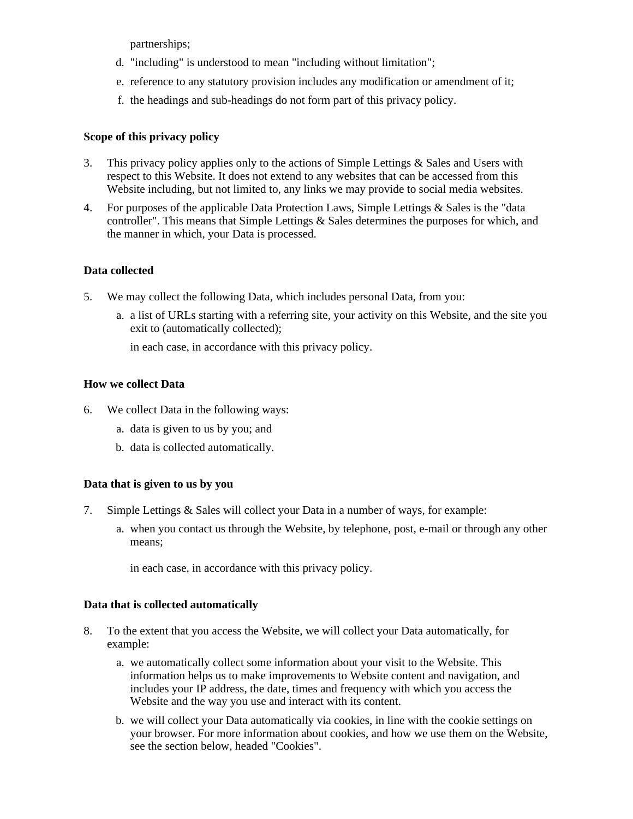partnerships;

- d. "including" is understood to mean "including without limitation";
- e. reference to any statutory provision includes any modification or amendment of it;
- f. the headings and sub-headings do not form part of this privacy policy.

# **Scope of this privacy policy**

- 3. This privacy policy applies only to the actions of Simple Lettings & Sales and Users with respect to this Website. It does not extend to any websites that can be accessed from this Website including, but not limited to, any links we may provide to social media websites.
- 4. For purposes of the applicable Data Protection Laws, Simple Lettings & Sales is the "data controller". This means that Simple Lettings & Sales determines the purposes for which, and the manner in which, your Data is processed.

# **Data collected**

- 5. We may collect the following Data, which includes personal Data, from you:
	- a. a list of URLs starting with a referring site, your activity on this Website, and the site you exit to (automatically collected);

in each case, in accordance with this privacy policy.

# **How we collect Data**

- 6. We collect Data in the following ways:
	- a. data is given to us by you; and
	- b. data is collected automatically.

# **Data that is given to us by you**

- 7. Simple Lettings & Sales will collect your Data in a number of ways, for example:
	- a. when you contact us through the Website, by telephone, post, e-mail or through any other means;

in each case, in accordance with this privacy policy.

# **Data that is collected automatically**

- 8. To the extent that you access the Website, we will collect your Data automatically, for example:
	- a. we automatically collect some information about your visit to the Website. This information helps us to make improvements to Website content and navigation, and includes your IP address, the date, times and frequency with which you access the Website and the way you use and interact with its content.
	- b. we will collect your Data automatically via cookies, in line with the cookie settings on your browser. For more information about cookies, and how we use them on the Website, see the section below, headed "Cookies".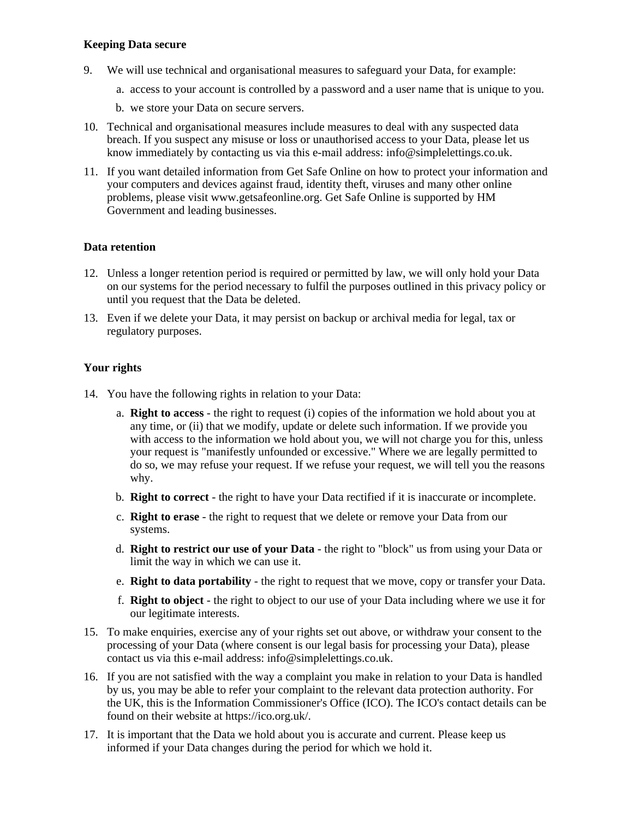## **Keeping Data secure**

- 9. We will use technical and organisational measures to safeguard your Data, for example:
	- a. access to your account is controlled by a password and a user name that is unique to you.
	- b. we store your Data on secure servers.
- 10. Technical and organisational measures include measures to deal with any suspected data breach. If you suspect any misuse or loss or unauthorised access to your Data, please let us know immediately by contacting us via this e-mail address: info@simplelettings.co.uk.
- 11. If you want detailed information from Get Safe Online on how to protect your information and your computers and devices against fraud, identity theft, viruses and many other online problems, please visit www.getsafeonline.org. Get Safe Online is supported by HM Government and leading businesses.

## **Data retention**

- 12. Unless a longer retention period is required or permitted by law, we will only hold your Data on our systems for the period necessary to fulfil the purposes outlined in this privacy policy or until you request that the Data be deleted.
- 13. Even if we delete your Data, it may persist on backup or archival media for legal, tax or regulatory purposes.

## **Your rights**

- 14. You have the following rights in relation to your Data:
	- a. **Right to access** the right to request (i) copies of the information we hold about you at any time, or (ii) that we modify, update or delete such information. If we provide you with access to the information we hold about you, we will not charge you for this, unless your request is "manifestly unfounded or excessive." Where we are legally permitted to do so, we may refuse your request. If we refuse your request, we will tell you the reasons why.
	- b. **Right to correct** the right to have your Data rectified if it is inaccurate or incomplete.
	- c. **Right to erase** the right to request that we delete or remove your Data from our systems.
	- d. **Right to restrict our use of your Data** the right to "block" us from using your Data or limit the way in which we can use it.
	- e. **Right to data portability** the right to request that we move, copy or transfer your Data.
	- f. **Right to object** the right to object to our use of your Data including where we use it for our legitimate interests.
- 15. To make enquiries, exercise any of your rights set out above, or withdraw your consent to the processing of your Data (where consent is our legal basis for processing your Data), please contact us via this e-mail address: info@simplelettings.co.uk.
- 16. If you are not satisfied with the way a complaint you make in relation to your Data is handled by us, you may be able to refer your complaint to the relevant data protection authority. For the UK, this is the Information Commissioner's Office (ICO). The ICO's contact details can be found on their website at https://ico.org.uk/.
- 17. It is important that the Data we hold about you is accurate and current. Please keep us informed if your Data changes during the period for which we hold it.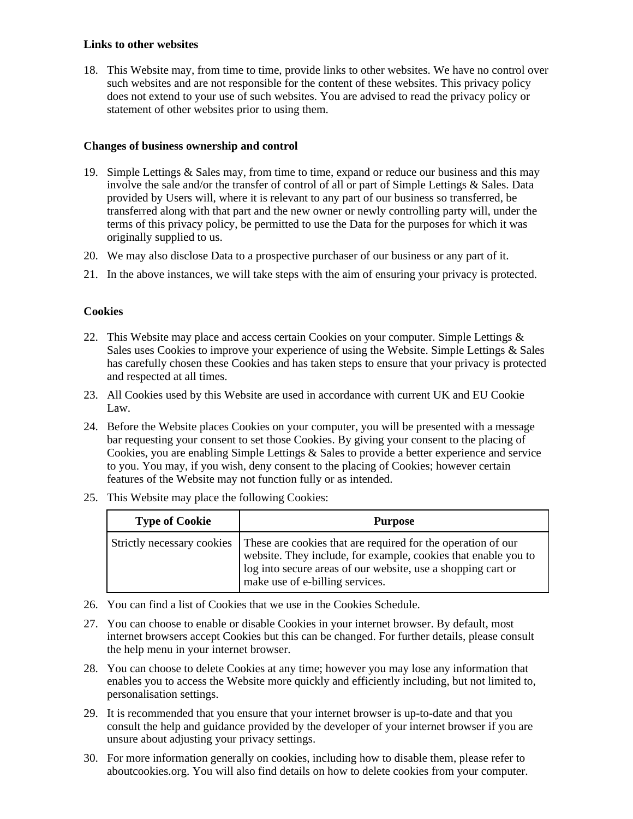## **Links to other websites**

18. This Website may, from time to time, provide links to other websites. We have no control over such websites and are not responsible for the content of these websites. This privacy policy does not extend to your use of such websites. You are advised to read the privacy policy or statement of other websites prior to using them.

## **Changes of business ownership and control**

- 19. Simple Lettings  $&$  Sales may, from time to time, expand or reduce our business and this may involve the sale and/or the transfer of control of all or part of Simple Lettings & Sales. Data provided by Users will, where it is relevant to any part of our business so transferred, be transferred along with that part and the new owner or newly controlling party will, under the terms of this privacy policy, be permitted to use the Data for the purposes for which it was originally supplied to us.
- 20. We may also disclose Data to a prospective purchaser of our business or any part of it.
- 21. In the above instances, we will take steps with the aim of ensuring your privacy is protected.

#### **Cookies**

- 22. This Website may place and access certain Cookies on your computer. Simple Lettings & Sales uses Cookies to improve your experience of using the Website. Simple Lettings & Sales has carefully chosen these Cookies and has taken steps to ensure that your privacy is protected and respected at all times.
- 23. All Cookies used by this Website are used in accordance with current UK and EU Cookie Law.
- 24. Before the Website places Cookies on your computer, you will be presented with a message bar requesting your consent to set those Cookies. By giving your consent to the placing of Cookies, you are enabling Simple Lettings & Sales to provide a better experience and service to you. You may, if you wish, deny consent to the placing of Cookies; however certain features of the Website may not function fully or as intended.
- 25. This Website may place the following Cookies:

| <b>Type of Cookie</b> | <b>Purpose</b>                                                                                                                                                                                                                                                 |
|-----------------------|----------------------------------------------------------------------------------------------------------------------------------------------------------------------------------------------------------------------------------------------------------------|
|                       | Strictly necessary cookies   These are cookies that are required for the operation of our<br>website. They include, for example, cookies that enable you to<br>log into secure areas of our website, use a shopping cart or<br>make use of e-billing services. |

- 26. You can find a list of Cookies that we use in the Cookies Schedule.
- 27. You can choose to enable or disable Cookies in your internet browser. By default, most internet browsers accept Cookies but this can be changed. For further details, please consult the help menu in your internet browser.
- 28. You can choose to delete Cookies at any time; however you may lose any information that enables you to access the Website more quickly and efficiently including, but not limited to, personalisation settings.
- 29. It is recommended that you ensure that your internet browser is up-to-date and that you consult the help and guidance provided by the developer of your internet browser if you are unsure about adjusting your privacy settings.
- 30. For more information generally on cookies, including how to disable them, please refer to aboutcookies.org. You will also find details on how to delete cookies from your computer.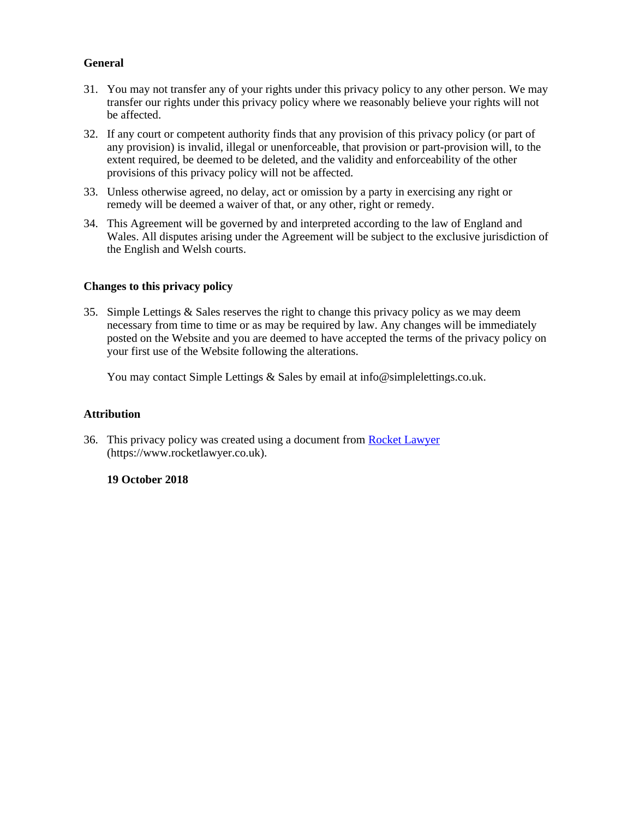## **General**

- 31. You may not transfer any of your rights under this privacy policy to any other person. We may transfer our rights under this privacy policy where we reasonably believe your rights will not be affected.
- 32. If any court or competent authority finds that any provision of this privacy policy (or part of any provision) is invalid, illegal or unenforceable, that provision or part-provision will, to the extent required, be deemed to be deleted, and the validity and enforceability of the other provisions of this privacy policy will not be affected.
- 33. Unless otherwise agreed, no delay, act or omission by a party in exercising any right or remedy will be deemed a waiver of that, or any other, right or remedy.
- 34. This Agreement will be governed by and interpreted according to the law of England and Wales. All disputes arising under the Agreement will be subject to the exclusive jurisdiction of the English and Welsh courts.

## **Changes to this privacy policy**

35. Simple Lettings & Sales reserves the right to change this privacy policy as we may deem necessary from time to time or as may be required by law. Any changes will be immediately posted on the Website and you are deemed to have accepted the terms of the privacy policy on your first use of the Website following the alterations.

You may contact Simple Lettings & Sales by email at info@simplelettings.co.uk.

## **Attribution**

36. This privacy policy was created using a document from [Rocket Lawyer](https://www.rocketlawyer.co.uk/) (https://www.rocketlawyer.co.uk).

## **19 October 2018**